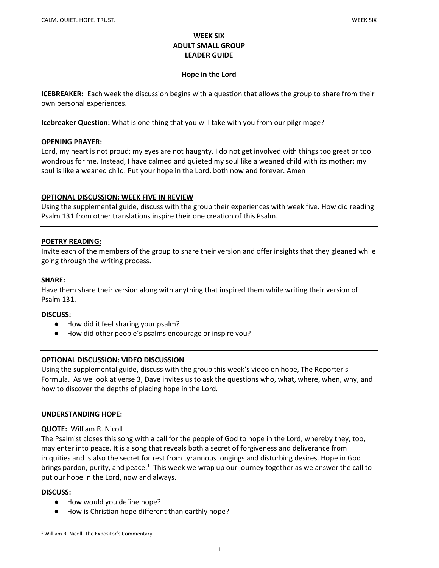### WEEK SIX ADULT SMALL GROUP LEADER GUIDE

#### Hope in the Lord

ICEBREAKER: Each week the discussion begins with a question that allows the group to share from their own personal experiences.

Icebreaker Question: What is one thing that you will take with you from our pilgrimage?

#### OPENING PRAYER:

Lord, my heart is not proud; my eyes are not haughty. I do not get involved with things too great or too wondrous for me. Instead, I have calmed and quieted my soul like a weaned child with its mother; my soul is like a weaned child. Put your hope in the Lord, both now and forever. Amen

### OPTIONAL DISCUSSION: WEEK FIVE IN REVIEW

Using the supplemental guide, discuss with the group their experiences with week five. How did reading Psalm 131 from other translations inspire their one creation of this Psalm.

### POETRY READING:

Invite each of the members of the group to share their version and offer insights that they gleaned while going through the writing process.

#### SHARE:

Have them share their version along with anything that inspired them while writing their version of Psalm 131.

#### DISCUSS:

- How did it feel sharing your psalm?
- How did other people's psalms encourage or inspire you?

## OPTIONAL DISCUSSION: VIDEO DISCUSSION

Using the supplemental guide, discuss with the group this week's video on hope, The Reporter's Formula. As we look at verse 3, Dave invites us to ask the questions who, what, where, when, why, and how to discover the depths of placing hope in the Lord.

#### UNDERSTANDING HOPE:

#### QUOTE: William R. Nicoll

The Psalmist closes this song with a call for the people of God to hope in the Lord, whereby they, too, may enter into peace. It is a song that reveals both a secret of forgiveness and deliverance from iniquities and is also the secret for rest from tyrannous longings and disturbing desires. Hope in God brings pardon, purity, and peace.<sup>1</sup> This week we wrap up our journey together as we answer the call to put our hope in the Lord, now and always.

#### DISCUSS:

- How would you define hope?
- How is Christian hope different than earthly hope?

<sup>&</sup>lt;sup>1</sup> William R. Nicoll: The Expositor's Commentary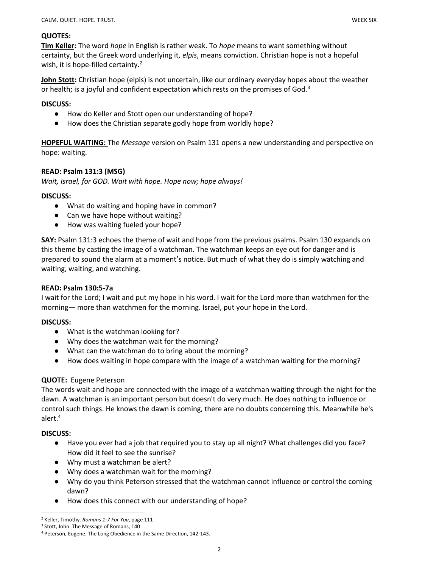## QUOTES:

Tim Keller: The word *hope* in English is rather weak. To *hope* means to want something without certainty, but the Greek word underlying it, elpis, means conviction. Christian hope is not a hopeful wish, it is hope-filled certainty.<sup>2</sup>

John Stott: Christian hope (elpis) is not uncertain, like our ordinary everyday hopes about the weather or health; is a joyful and confident expectation which rests on the promises of God.<sup>3</sup>

#### DISCUSS:

- How do Keller and Stott open our understanding of hope?
- How does the Christian separate godly hope from worldly hope?

**HOPEFUL WAITING:** The *Message* version on Psalm 131 opens a new understanding and perspective on hope: waiting.

### READ: Psalm 131:3 (MSG)

Wait, Israel, for GOD. Wait with hope. Hope now; hope always!

### DISCUSS:

- What do waiting and hoping have in common?
- Can we have hope without waiting?
- How was waiting fueled your hope?

SAY: Psalm 131:3 echoes the theme of wait and hope from the previous psalms. Psalm 130 expands on this theme by casting the image of a watchman. The watchman keeps an eye out for danger and is prepared to sound the alarm at a moment's notice. But much of what they do is simply watching and waiting, waiting, and watching.

#### READ: Psalm 130:5-7a

I wait for the Lord; I wait and put my hope in his word. I wait for the Lord more than watchmen for the morning— more than watchmen for the morning. Israel, put your hope in the Lord.

#### DISCUSS:

- What is the watchman looking for?
- Why does the watchman wait for the morning?
- What can the watchman do to bring about the morning?
- How does waiting in hope compare with the image of a watchman waiting for the morning?

#### QUOTE: Eugene Peterson

The words wait and hope are connected with the image of a watchman waiting through the night for the dawn. A watchman is an important person but doesn't do very much. He does nothing to influence or control such things. He knows the dawn is coming, there are no doubts concerning this. Meanwhile he's alert.<sup>4</sup>

#### DISCUSS:

- Have you ever had a job that required you to stay up all night? What challenges did you face? How did it feel to see the sunrise?
- Why must a watchman be alert?
- Why does a watchman wait for the morning?
- Why do you think Peterson stressed that the watchman cannot influence or control the coming dawn?
- How does this connect with our understanding of hope?

<sup>&</sup>lt;sup>2</sup> Keller, Timothy. Romans 1-7 For You, page 111

<sup>&</sup>lt;sup>3</sup> Stott, John. The Message of Romans, 140

<sup>4</sup> Peterson, Eugene. The Long Obedience in the Same Direction, 142-143.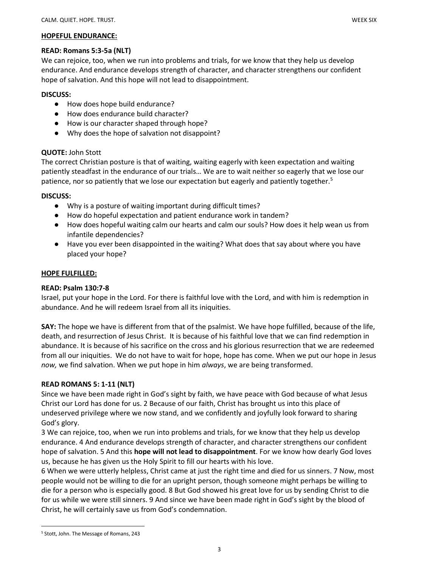#### HOPEFUL ENDURANCE:

#### READ: Romans 5:3-5a (NLT)

We can rejoice, too, when we run into problems and trials, for we know that they help us develop endurance. And endurance develops strength of character, and character strengthens our confident hope of salvation. And this hope will not lead to disappointment.

#### DISCUSS:

- How does hope build endurance?
- How does endurance build character?
- How is our character shaped through hope?
- Why does the hope of salvation not disappoint?

# QUOTE: John Stott

The correct Christian posture is that of waiting, waiting eagerly with keen expectation and waiting patiently steadfast in the endurance of our trials… We are to wait neither so eagerly that we lose our patience, nor so patiently that we lose our expectation but eagerly and patiently together.<sup>5</sup>

## DISCUSS:

- Why is a posture of waiting important during difficult times?
- How do hopeful expectation and patient endurance work in tandem?
- How does hopeful waiting calm our hearts and calm our souls? How does it help wean us from infantile dependencies?
- Have you ever been disappointed in the waiting? What does that say about where you have placed your hope?

### HOPE FULFILLED:

## READ: Psalm 130:7-8

Israel, put your hope in the Lord. For there is faithful love with the Lord, and with him is redemption in abundance. And he will redeem Israel from all its iniquities.

SAY: The hope we have is different from that of the psalmist. We have hope fulfilled, because of the life, death, and resurrection of Jesus Christ. It is because of his faithful love that we can find redemption in abundance. It is because of his sacrifice on the cross and his glorious resurrection that we are redeemed from all our iniquities. We do not have to wait for hope, hope has come. When we put our hope in Jesus now, we find salvation. When we put hope in him always, we are being transformed.

## READ ROMANS 5: 1-11 (NLT)

Since we have been made right in God's sight by faith, we have peace with God because of what Jesus Christ our Lord has done for us. 2 Because of our faith, Christ has brought us into this place of undeserved privilege where we now stand, and we confidently and joyfully look forward to sharing God's glory.

3 We can rejoice, too, when we run into problems and trials, for we know that they help us develop endurance. 4 And endurance develops strength of character, and character strengthens our confident hope of salvation. 5 And this **hope will not lead to disappointment**. For we know how dearly God loves us, because he has given us the Holy Spirit to fill our hearts with his love.

6 When we were utterly helpless, Christ came at just the right time and died for us sinners. 7 Now, most people would not be willing to die for an upright person, though someone might perhaps be willing to die for a person who is especially good. 8 But God showed his great love for us by sending Christ to die for us while we were still sinners. 9 And since we have been made right in God's sight by the blood of Christ, he will certainly save us from God's condemnation.

<sup>5</sup> Stott, John. The Message of Romans, 243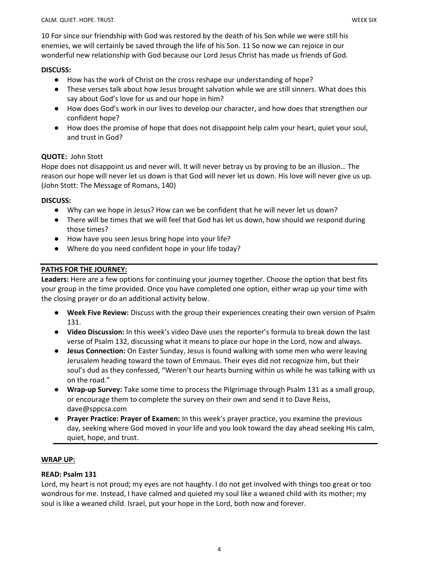10 For since our friendship with God was restored by the death of his Son while we were still his enemies, we will certainly be saved through the life of his Son. 11 So now we can rejoice in our wonderful new relationship with God because our Lord Jesus Christ has made us friends of God.

### DISCUSS:

- How has the work of Christ on the cross reshape our understanding of hope?
- These verses talk about how Jesus brought salvation while we are still sinners. What does this say about God's love for us and our hope in him?
- How does God's work in our lives to develop our character, and how does that strengthen our confident hope?
- How does the promise of hope that does not disappoint help calm your heart, quiet your soul, and trust in God?

## QUOTE: John Stott

Hope does not disappoint us and never will. It will never betray us by proving to be an illusion… The reason our hope will never let us down is that God will never let us down. His love will never give us up. (John Stott: The Message of Romans, 140)

## DISCUSS:

- Why can we hope in Jesus? How can we be confident that he will never let us down?
- There will be times that we will feel that God has let us down, how should we respond during those times?
- How have you seen Jesus bring hope into your life?
- Where do you need confident hope in your life today?

# PATHS FOR THE JOURNEY:

Leaders: Here are a few options for continuing your journey together. Choose the option that best fits your group in the time provided. Once you have completed one option, either wrap up your time with the closing prayer or do an additional activity below.

- Week Five Review: Discuss with the group their experiences creating their own version of Psalm 131.
- Video Discussion: In this week's video Dave uses the reporter's formula to break down the last verse of Psalm 132, discussing what it means to place our hope in the Lord, now and always.
- Jesus Connection: On Easter Sunday, Jesus is found walking with some men who were leaving Jerusalem heading toward the town of Emmaus. Their eyes did not recognize him, but their soul's dud as they confessed, "Weren't our hearts burning within us while he was talking with us on the road."
- Wrap-up Survey: Take some time to process the Pilgrimage through Psalm 131 as a small group, or encourage them to complete the survey on their own and send it to Dave Reiss, dave@sppcsa.com
- Prayer Practice: Prayer of Examen: In this week's prayer practice, you examine the previous day, seeking where God moved in your life and you look toward the day ahead seeking His calm, quiet, hope, and trust.

## WRAP UP:

## READ: Psalm 131

Lord, my heart is not proud; my eyes are not haughty. I do not get involved with things too great or too wondrous for me. Instead, I have calmed and quieted my soul like a weaned child with its mother; my soul is like a weaned child. Israel, put your hope in the Lord, both now and forever.